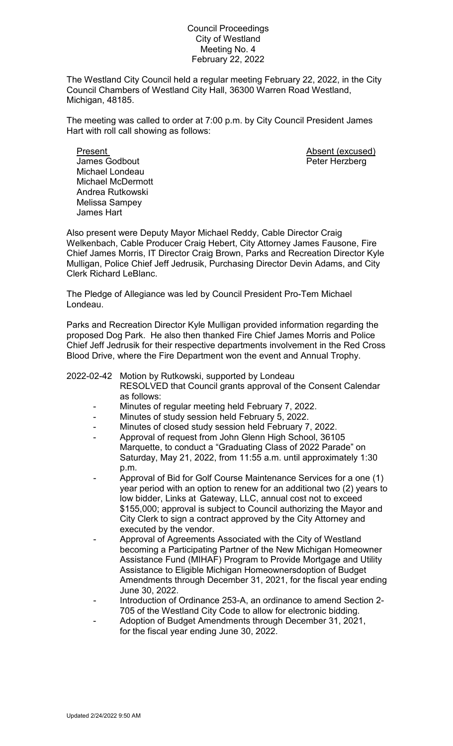## Council Proceedings City of Westland Meeting No. 4 February 22, 2022

The Westland City Council held a regular meeting February 22, 2022, in the City Council Chambers of Westland City Hall, 36300 Warren Road Westland, Michigan, 48185.

The meeting was called to order at 7:00 p.m. by City Council President James Hart with roll call showing as follows:

Present **Absent** (excused) James Godbout **Peter Herzberg** Michael Londeau Michael McDermott Andrea Rutkowski Melissa Sampey James Hart

Also present were Deputy Mayor Michael Reddy, Cable Director Craig Welkenbach, Cable Producer Craig Hebert, City Attorney James Fausone, Fire Chief James Morris, IT Director Craig Brown, Parks and Recreation Director Kyle Mulligan, Police Chief Jeff Jedrusik, Purchasing Director Devin Adams, and City Clerk Richard LeBlanc.

The Pledge of Allegiance was led by Council President Pro-Tem Michael Londeau.

Parks and Recreation Director Kyle Mulligan provided information regarding the proposed Dog Park. He also then thanked Fire Chief James Morris and Police Chief Jeff Jedrusik for their respective departments involvement in the Red Cross Blood Drive, where the Fire Department won the event and Annual Trophy.

## 2022-02-42 Motion by Rutkowski, supported by Londeau

- RESOLVED that Council grants approval of the Consent Calendar as follows:
- Minutes of regular meeting held February 7, 2022.
- Minutes of study session held February 5, 2022.
- Minutes of closed study session held February 7, 2022.
- Approval of request from John Glenn High School, 36105 Marquette, to conduct a "Graduating Class of 2022 Parade" on Saturday, May 21, 2022, from 11:55 a.m. until approximately 1:30 p.m.
- Approval of Bid for Golf Course Maintenance Services for a one (1) year period with an option to renew for an additional two (2) years to low bidder, Links at Gateway, LLC, annual cost not to exceed \$155,000; approval is subject to Council authorizing the Mayor and City Clerk to sign a contract approved by the City Attorney and executed by the vendor.
- Approval of Agreements Associated with the City of Westland becoming a Participating Partner of the New Michigan Homeowner Assistance Fund (MIHAF) Program to Provide Mortgage and Utility Assistance to Eligible Michigan Homeownersdoption of Budget Amendments through December 31, 2021, for the fiscal year ending June 30, 2022.
- Introduction of Ordinance 253-A, an ordinance to amend Section 2-705 of the Westland City Code to allow for electronic bidding.
- Adoption of Budget Amendments through December 31, 2021, for the fiscal year ending June 30, 2022.